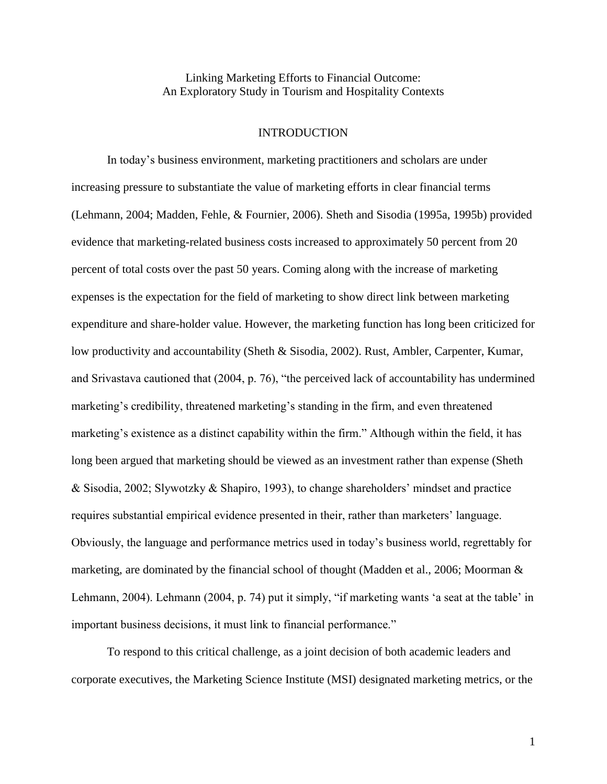Linking Marketing Efforts to Financial Outcome: An Exploratory Study in Tourism and Hospitality Contexts

# **INTRODUCTION**

 In today"s business environment, marketing practitioners and scholars are under increasing pressure to substantiate the value of marketing efforts in clear financial terms (Lehmann, 2004; Madden, Fehle, & Fournier, 2006). Sheth and Sisodia (1995a, 1995b) provided evidence that marketing-related business costs increased to approximately 50 percent from 20 percent of total costs over the past 50 years. Coming along with the increase of marketing expenses is the expectation for the field of marketing to show direct link between marketing expenditure and share-holder value. However, the marketing function has long been criticized for low productivity and accountability (Sheth & Sisodia, 2002). Rust, Ambler, Carpenter, Kumar, and Srivastava cautioned that (2004, p. 76), "the perceived lack of accountability has undermined marketing's credibility, threatened marketing's standing in the firm, and even threatened marketing"s existence as a distinct capability within the firm." Although within the field, it has long been argued that marketing should be viewed as an investment rather than expense (Sheth & Sisodia, 2002; Slywotzky & Shapiro, 1993), to change shareholders" mindset and practice requires substantial empirical evidence presented in their, rather than marketers" language. Obviously, the language and performance metrics used in today"s business world, regrettably for marketing, are dominated by the financial school of thought (Madden et al., 2006; Moorman & Lehmann, 2004). Lehmann (2004, p. 74) put it simply, "if marketing wants "a seat at the table" in important business decisions, it must link to financial performance."

 To respond to this critical challenge, as a joint decision of both academic leaders and corporate executives, the Marketing Science Institute (MSI) designated marketing metrics, or the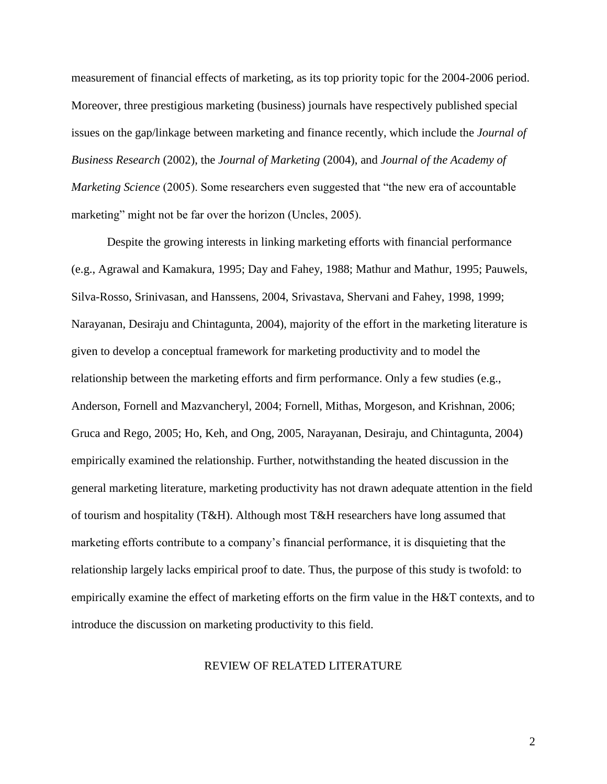measurement of financial effects of marketing, as its top priority topic for the 2004-2006 period. Moreover, three prestigious marketing (business) journals have respectively published special issues on the gap/linkage between marketing and finance recently, which include the *Journal of Business Research* (2002), the *Journal of Marketing* (2004), and *Journal of the Academy of Marketing Science* (2005). Some researchers even suggested that "the new era of accountable marketing" might not be far over the horizon (Uncles, 2005).

Despite the growing interests in linking marketing efforts with financial performance (e.g., Agrawal and Kamakura, 1995; Day and Fahey, 1988; Mathur and Mathur, 1995; Pauwels, Silva-Rosso, Srinivasan, and Hanssens, 2004, Srivastava, Shervani and Fahey, 1998, 1999; Narayanan, Desiraju and Chintagunta, 2004), majority of the effort in the marketing literature is given to develop a conceptual framework for marketing productivity and to model the relationship between the marketing efforts and firm performance. Only a few studies (e.g., Anderson, Fornell and Mazvancheryl, 2004; Fornell, Mithas, Morgeson, and Krishnan, 2006; Gruca and Rego, 2005; Ho, Keh, and Ong, 2005, Narayanan, Desiraju, and Chintagunta, 2004) empirically examined the relationship. Further, notwithstanding the heated discussion in the general marketing literature, marketing productivity has not drawn adequate attention in the field of tourism and hospitality (T&H). Although most T&H researchers have long assumed that marketing efforts contribute to a company's financial performance, it is disquieting that the relationship largely lacks empirical proof to date. Thus, the purpose of this study is twofold: to empirically examine the effect of marketing efforts on the firm value in the H&T contexts, and to introduce the discussion on marketing productivity to this field.

# REVIEW OF RELATED LITERATURE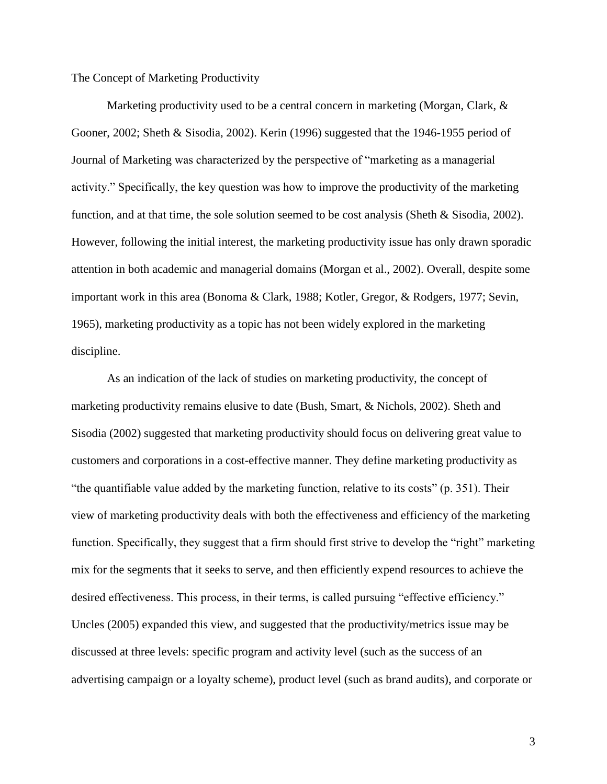The Concept of Marketing Productivity

Marketing productivity used to be a central concern in marketing (Morgan, Clark,  $\&$ Gooner, 2002; Sheth & Sisodia, 2002). Kerin (1996) suggested that the 1946-1955 period of Journal of Marketing was characterized by the perspective of "marketing as a managerial activity." Specifically, the key question was how to improve the productivity of the marketing function, and at that time, the sole solution seemed to be cost analysis (Sheth & Sisodia, 2002). However, following the initial interest, the marketing productivity issue has only drawn sporadic attention in both academic and managerial domains (Morgan et al., 2002). Overall, despite some important work in this area (Bonoma & Clark, 1988; Kotler, Gregor, & Rodgers, 1977; Sevin, 1965), marketing productivity as a topic has not been widely explored in the marketing discipline.

As an indication of the lack of studies on marketing productivity, the concept of marketing productivity remains elusive to date (Bush, Smart, & Nichols, 2002). Sheth and Sisodia (2002) suggested that marketing productivity should focus on delivering great value to customers and corporations in a cost-effective manner. They define marketing productivity as "the quantifiable value added by the marketing function, relative to its costs" (p. 351). Their view of marketing productivity deals with both the effectiveness and efficiency of the marketing function. Specifically, they suggest that a firm should first strive to develop the "right" marketing mix for the segments that it seeks to serve, and then efficiently expend resources to achieve the desired effectiveness. This process, in their terms, is called pursuing "effective efficiency." Uncles (2005) expanded this view, and suggested that the productivity/metrics issue may be discussed at three levels: specific program and activity level (such as the success of an advertising campaign or a loyalty scheme), product level (such as brand audits), and corporate or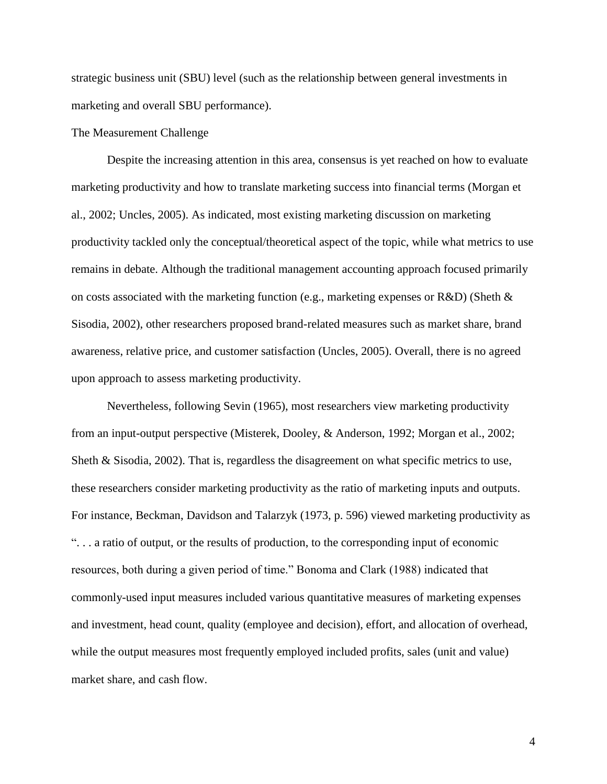strategic business unit (SBU) level (such as the relationship between general investments in marketing and overall SBU performance).

### The Measurement Challenge

 Despite the increasing attention in this area, consensus is yet reached on how to evaluate marketing productivity and how to translate marketing success into financial terms (Morgan et al., 2002; Uncles, 2005). As indicated, most existing marketing discussion on marketing productivity tackled only the conceptual/theoretical aspect of the topic, while what metrics to use remains in debate. Although the traditional management accounting approach focused primarily on costs associated with the marketing function (e.g., marketing expenses or R&D) (Sheth  $\&$ Sisodia, 2002), other researchers proposed brand-related measures such as market share, brand awareness, relative price, and customer satisfaction (Uncles, 2005). Overall, there is no agreed upon approach to assess marketing productivity.

Nevertheless, following Sevin (1965), most researchers view marketing productivity from an input-output perspective (Misterek, Dooley, & Anderson, 1992; Morgan et al., 2002; Sheth & Sisodia, 2002). That is, regardless the disagreement on what specific metrics to use, these researchers consider marketing productivity as the ratio of marketing inputs and outputs. For instance, Beckman, Davidson and Talarzyk (1973, p. 596) viewed marketing productivity as ". . . a ratio of output, or the results of production, to the corresponding input of economic resources, both during a given period of time." Bonoma and Clark (1988) indicated that commonly-used input measures included various quantitative measures of marketing expenses and investment, head count, quality (employee and decision), effort, and allocation of overhead, while the output measures most frequently employed included profits, sales (unit and value) market share, and cash flow.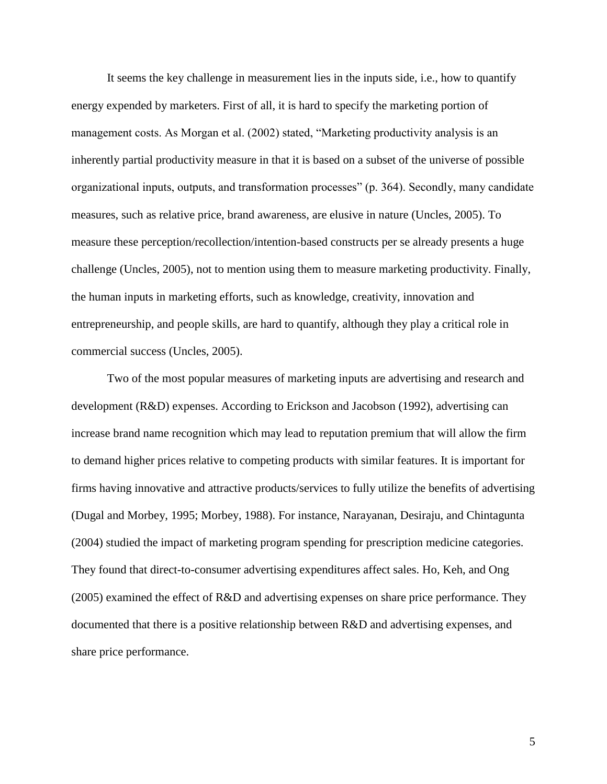It seems the key challenge in measurement lies in the inputs side, i.e., how to quantify energy expended by marketers. First of all, it is hard to specify the marketing portion of management costs. As Morgan et al. (2002) stated, "Marketing productivity analysis is an inherently partial productivity measure in that it is based on a subset of the universe of possible organizational inputs, outputs, and transformation processes" (p. 364). Secondly, many candidate measures, such as relative price, brand awareness, are elusive in nature (Uncles, 2005). To measure these perception/recollection/intention-based constructs per se already presents a huge challenge (Uncles, 2005), not to mention using them to measure marketing productivity. Finally, the human inputs in marketing efforts, such as knowledge, creativity, innovation and entrepreneurship, and people skills, are hard to quantify, although they play a critical role in commercial success (Uncles, 2005).

Two of the most popular measures of marketing inputs are advertising and research and development (R&D) expenses. According to Erickson and Jacobson (1992), advertising can increase brand name recognition which may lead to reputation premium that will allow the firm to demand higher prices relative to competing products with similar features. It is important for firms having innovative and attractive products/services to fully utilize the benefits of advertising (Dugal and Morbey, 1995; Morbey, 1988). For instance, Narayanan, Desiraju, and Chintagunta (2004) studied the impact of marketing program spending for prescription medicine categories. They found that direct-to-consumer advertising expenditures affect sales. Ho, Keh, and Ong (2005) examined the effect of R&D and advertising expenses on share price performance. They documented that there is a positive relationship between R&D and advertising expenses, and share price performance.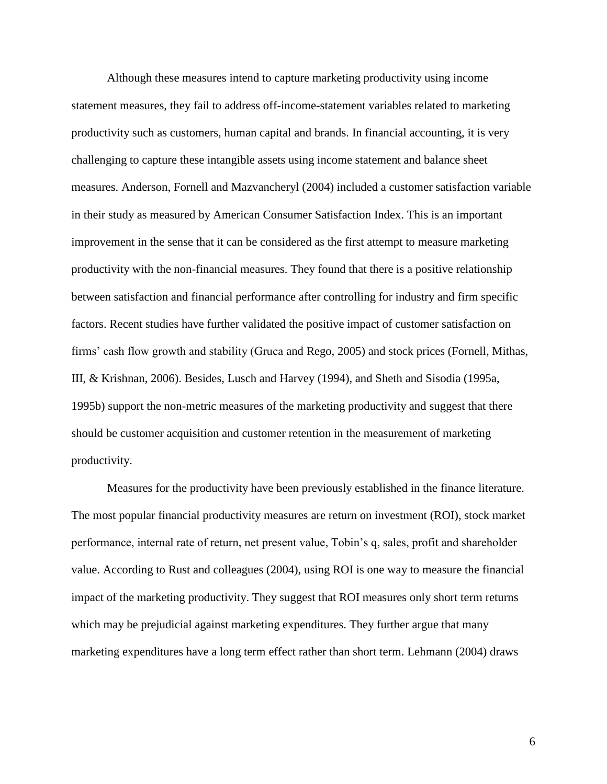Although these measures intend to capture marketing productivity using income statement measures, they fail to address off-income-statement variables related to marketing productivity such as customers, human capital and brands. In financial accounting, it is very challenging to capture these intangible assets using income statement and balance sheet measures. Anderson, Fornell and Mazvancheryl (2004) included a customer satisfaction variable in their study as measured by American Consumer Satisfaction Index. This is an important improvement in the sense that it can be considered as the first attempt to measure marketing productivity with the non-financial measures. They found that there is a positive relationship between satisfaction and financial performance after controlling for industry and firm specific factors. Recent studies have further validated the positive impact of customer satisfaction on firms" cash flow growth and stability (Gruca and Rego, 2005) and stock prices (Fornell, Mithas, III, & Krishnan, 2006). Besides, Lusch and Harvey (1994), and Sheth and Sisodia (1995a, 1995b) support the non-metric measures of the marketing productivity and suggest that there should be customer acquisition and customer retention in the measurement of marketing productivity.

Measures for the productivity have been previously established in the finance literature. The most popular financial productivity measures are return on investment (ROI), stock market performance, internal rate of return, net present value, Tobin"s q, sales, profit and shareholder value. According to Rust and colleagues (2004), using ROI is one way to measure the financial impact of the marketing productivity. They suggest that ROI measures only short term returns which may be prejudicial against marketing expenditures. They further argue that many marketing expenditures have a long term effect rather than short term. Lehmann (2004) draws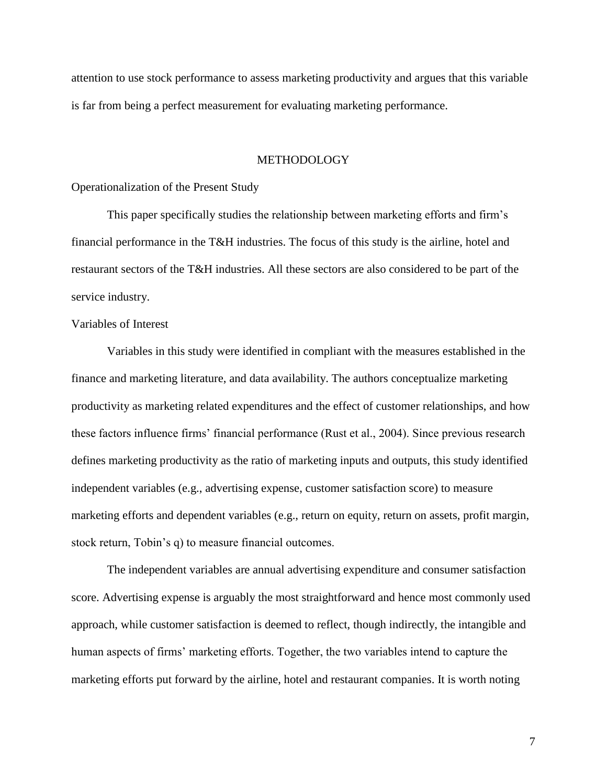attention to use stock performance to assess marketing productivity and argues that this variable is far from being a perfect measurement for evaluating marketing performance.

### METHODOLOGY

Operationalization of the Present Study

This paper specifically studies the relationship between marketing efforts and firm"s financial performance in the T&H industries. The focus of this study is the airline, hotel and restaurant sectors of the T&H industries. All these sectors are also considered to be part of the service industry.

# Variables of Interest

 Variables in this study were identified in compliant with the measures established in the finance and marketing literature, and data availability. The authors conceptualize marketing productivity as marketing related expenditures and the effect of customer relationships, and how these factors influence firms" financial performance (Rust et al., 2004). Since previous research defines marketing productivity as the ratio of marketing inputs and outputs, this study identified independent variables (e.g., advertising expense, customer satisfaction score) to measure marketing efforts and dependent variables (e.g., return on equity, return on assets, profit margin, stock return, Tobin's q) to measure financial outcomes.

The independent variables are annual advertising expenditure and consumer satisfaction score. Advertising expense is arguably the most straightforward and hence most commonly used approach, while customer satisfaction is deemed to reflect, though indirectly, the intangible and human aspects of firms' marketing efforts. Together, the two variables intend to capture the marketing efforts put forward by the airline, hotel and restaurant companies. It is worth noting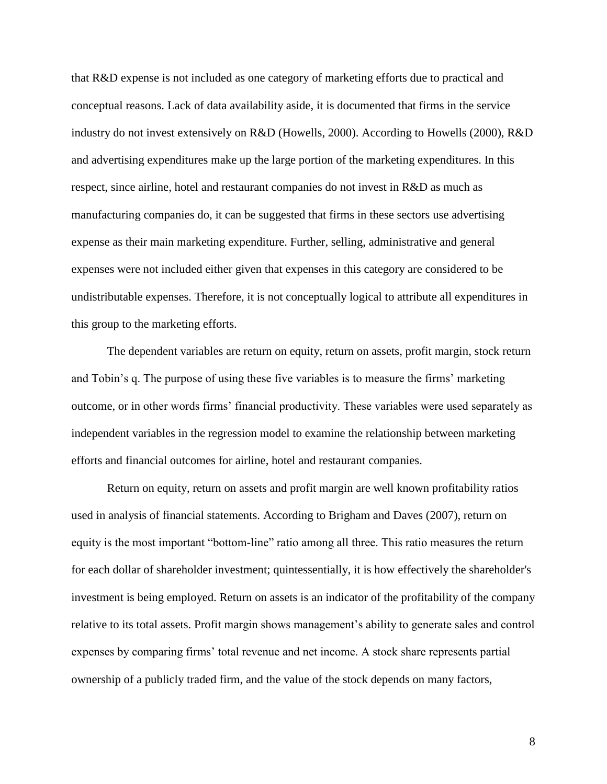that R&D expense is not included as one category of marketing efforts due to practical and conceptual reasons. Lack of data availability aside, it is documented that firms in the service industry do not invest extensively on R&D (Howells, 2000). According to Howells (2000), R&D and advertising expenditures make up the large portion of the marketing expenditures. In this respect, since airline, hotel and restaurant companies do not invest in R&D as much as manufacturing companies do, it can be suggested that firms in these sectors use advertising expense as their main marketing expenditure. Further, selling, administrative and general expenses were not included either given that expenses in this category are considered to be undistributable expenses. Therefore, it is not conceptually logical to attribute all expenditures in this group to the marketing efforts.

The dependent variables are return on equity, return on assets, profit margin, stock return and Tobin"s q. The purpose of using these five variables is to measure the firms" marketing outcome, or in other words firms" financial productivity. These variables were used separately as independent variables in the regression model to examine the relationship between marketing efforts and financial outcomes for airline, hotel and restaurant companies.

Return on equity, return on assets and profit margin are well known profitability ratios used in analysis of financial statements. According to Brigham and Daves (2007), return on equity is the most important "bottom-line" ratio among all three. This ratio measures the return for each dollar of shareholder investment; quintessentially, it is how effectively the shareholder's investment is being employed. Return on assets is an indicator of the profitability of the company relative to its total assets. Profit margin shows management's ability to generate sales and control expenses by comparing firms" total revenue and net income. A stock share represents partial ownership of a publicly traded firm, and the value of the stock depends on many factors,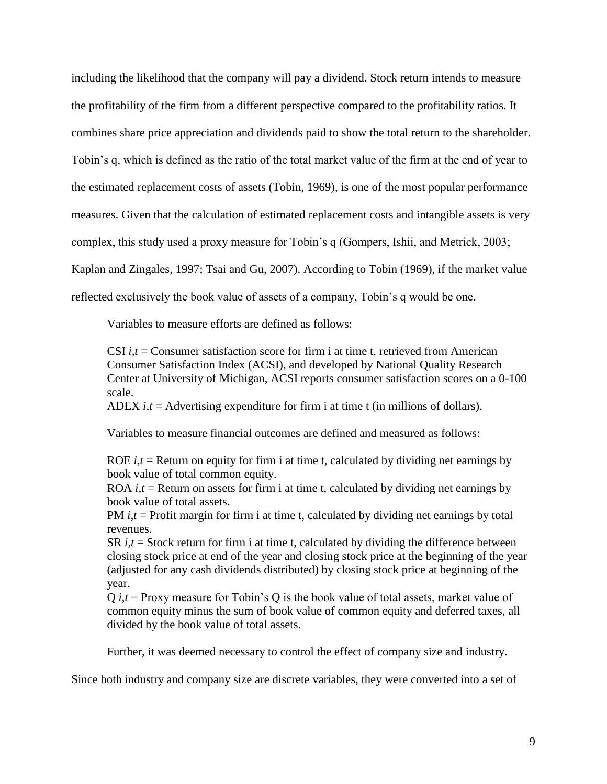including the likelihood that the company will pay a dividend. Stock return intends to measure the profitability of the firm from a different perspective compared to the profitability ratios. It combines share price appreciation and dividends paid to show the total return to the shareholder. Tobin"s q, which is defined as the ratio of the total market value of the firm at the end of year to the estimated replacement costs of assets (Tobin, 1969), is one of the most popular performance measures. Given that the calculation of estimated replacement costs and intangible assets is very complex, this study used a proxy measure for Tobin"s q (Gompers, Ishii, and Metrick, 2003; Kaplan and Zingales, 1997; Tsai and Gu, 2007). According to Tobin (1969), if the market value reflected exclusively the book value of assets of a company, Tobin"s q would be one.

Variables to measure efforts are defined as follows:

CSI *i,t* = Consumer satisfaction score for firm i at time t, retrieved from American Consumer Satisfaction Index (ACSI), and developed by National Quality Research Center at University of Michigan, ACSI reports consumer satisfaction scores on a 0-100 scale.

ADEX  $i, t$  = Advertising expenditure for firm i at time t (in millions of dollars).

Variables to measure financial outcomes are defined and measured as follows:

ROE  $i, t$  = Return on equity for firm i at time t, calculated by dividing net earnings by book value of total common equity.

ROA  $i.t$  = Return on assets for firm i at time t, calculated by dividing net earnings by book value of total assets.

PM *i,t* = Profit margin for firm i at time t, calculated by dividing net earnings by total revenues.

SR  $i, t$  = Stock return for firm i at time t, calculated by dividing the difference between closing stock price at end of the year and closing stock price at the beginning of the year (adjusted for any cash dividends distributed) by closing stock price at beginning of the year.

Q *i,t* = Proxy measure for Tobin"s Q is the book value of total assets, market value of common equity minus the sum of book value of common equity and deferred taxes, all divided by the book value of total assets.

Further, it was deemed necessary to control the effect of company size and industry.

Since both industry and company size are discrete variables, they were converted into a set of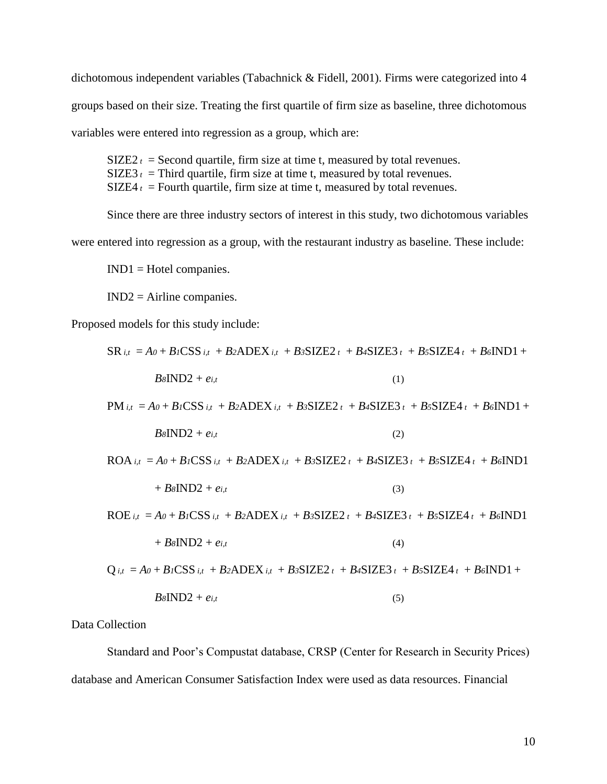dichotomous independent variables (Tabachnick & Fidell, 2001). Firms were categorized into 4 groups based on their size. Treating the first quartile of firm size as baseline, three dichotomous variables were entered into regression as a group, which are:

 $SIZE2t = Second quartile, firm size at time t, measured by total revenues.$ SIZE3  $t =$  Third quartile, firm size at time t, measured by total revenues.  $SIZE4t = Fourth quartile, firm size at time t, measured by total revenues.$ 

Since there are three industry sectors of interest in this study, two dichotomous variables were entered into regression as a group, with the restaurant industry as baseline. These include:

IND1 = Hotel companies.

IND2 = Airline companies.

Proposed models for this study include:

$$
SR_{i,t} = A_0 + B_l \text{CSS}_{i,t} + B_2 \text{ADEX}_{i,t} + B_3 \text{SIZE2}_{t} + B_4 \text{SIZE3}_{t} + B_5 \text{SIZE4}_{t} + B_6 \text{IND1} + B_8 \text{IND2} + e_{i,t}
$$
\n(1)  
\n
$$
PM_{i,t} = A_0 + B_l \text{CSS}_{i,t} + B_2 \text{ADEX}_{i,t} + B_3 \text{SIZE2}_{t} + B_4 \text{SIZE3}_{t} + B_5 \text{SIZE4}_{t} + B_6 \text{IND1} + B_8 \text{IND2} + e_{i,t}
$$
\n(2)  
\n
$$
ROA_{i,t} = A_0 + B_l \text{CSS}_{i,t} + B_2 \text{ADEX}_{i,t} + B_3 \text{SIZE2}_{t} + B_4 \text{SIZE3}_{t} + B_5 \text{SIZE4}_{t} + B_6 \text{IND1}
$$
\n
$$
+ B_8 \text{IND2} + e_{i,t}
$$
\n(3)  
\n
$$
ROE_{i,t} = A_0 + B_l \text{CSS}_{i,t} + B_2 \text{ADEX}_{i,t} + B_3 \text{SIZE2}_{t} + B_4 \text{SIZE3}_{t} + B_5 \text{SIZE4}_{t} + B_6 \text{IND1}
$$

$$
+ B \delta \text{IND2} + e_{i,t} \tag{4}
$$

$$
Q_{i,t} = A_0 + B_l \text{CSS}_{i,t} + B_2 \text{ADEX}_{i,t} + B_3 \text{SIZE2}_{t} + B_4 \text{SIZE3}_{t} + B_5 \text{SIZE4}_{t} + B_6 \text{IND1} + B_8 \text{IND2} + e_{i,t}
$$
\n(5)

Data Collection

 Standard and Poor"s Compustat database, CRSP (Center for Research in Security Prices) database and American Consumer Satisfaction Index were used as data resources. Financial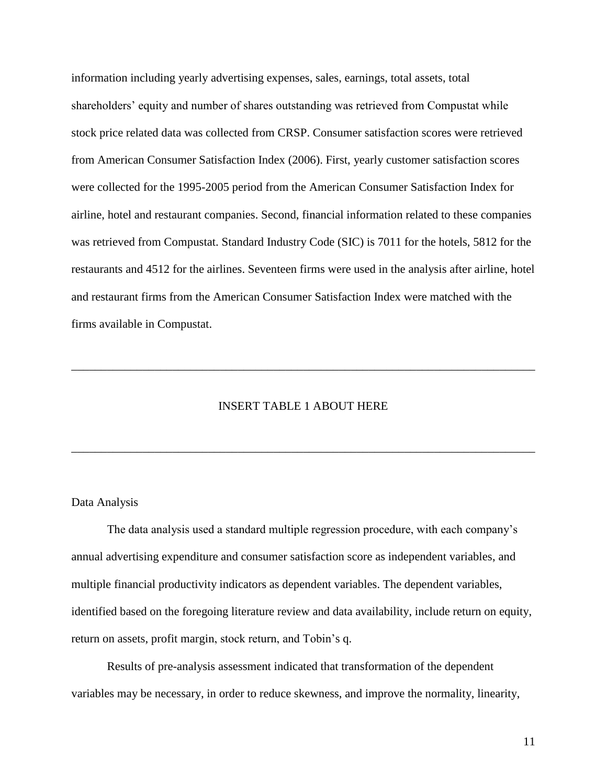information including yearly advertising expenses, sales, earnings, total assets, total shareholders' equity and number of shares outstanding was retrieved from Compustat while stock price related data was collected from CRSP. Consumer satisfaction scores were retrieved from American Consumer Satisfaction Index (2006). First, yearly customer satisfaction scores were collected for the 1995-2005 period from the American Consumer Satisfaction Index for airline, hotel and restaurant companies. Second, financial information related to these companies was retrieved from Compustat. Standard Industry Code (SIC) is 7011 for the hotels, 5812 for the restaurants and 4512 for the airlines. Seventeen firms were used in the analysis after airline, hotel and restaurant firms from the American Consumer Satisfaction Index were matched with the firms available in Compustat.

# INSERT TABLE 1 ABOUT HERE

\_\_\_\_\_\_\_\_\_\_\_\_\_\_\_\_\_\_\_\_\_\_\_\_\_\_\_\_\_\_\_\_\_\_\_\_\_\_\_\_\_\_\_\_\_\_\_\_\_\_\_\_\_\_\_\_\_\_\_\_\_\_\_\_\_\_\_\_\_\_\_\_\_\_\_\_\_\_

\_\_\_\_\_\_\_\_\_\_\_\_\_\_\_\_\_\_\_\_\_\_\_\_\_\_\_\_\_\_\_\_\_\_\_\_\_\_\_\_\_\_\_\_\_\_\_\_\_\_\_\_\_\_\_\_\_\_\_\_\_\_\_\_\_\_\_\_\_\_\_\_\_\_\_\_\_\_

### Data Analysis

 The data analysis used a standard multiple regression procedure, with each company"s annual advertising expenditure and consumer satisfaction score as independent variables, and multiple financial productivity indicators as dependent variables. The dependent variables, identified based on the foregoing literature review and data availability, include return on equity, return on assets, profit margin, stock return, and Tobin"s q.

Results of pre-analysis assessment indicated that transformation of the dependent variables may be necessary, in order to reduce skewness, and improve the normality, linearity,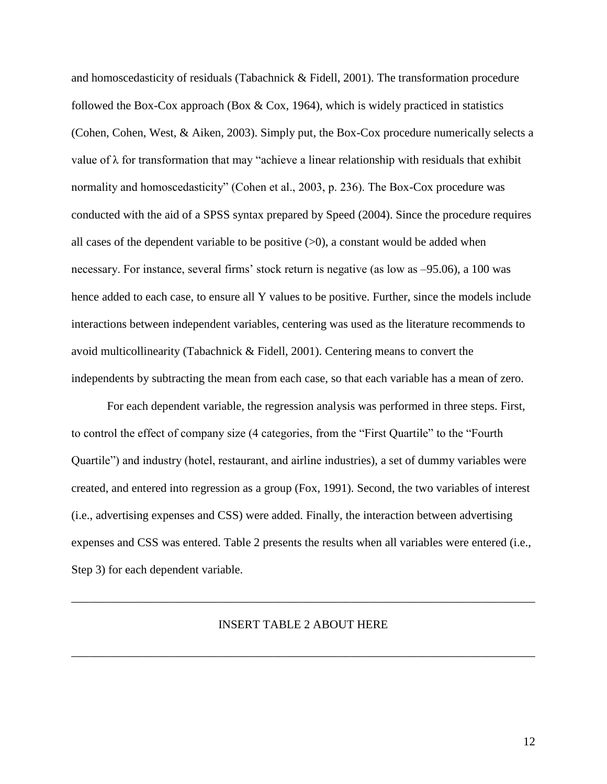and homoscedasticity of residuals (Tabachnick & Fidell, 2001). The transformation procedure followed the Box-Cox approach (Box  $& \text{Cox}$ , 1964), which is widely practiced in statistics (Cohen, Cohen, West, & Aiken, 2003). Simply put, the Box-Cox procedure numerically selects a value of  $\lambda$  for transformation that may "achieve a linear relationship with residuals that exhibit normality and homoscedasticity" (Cohen et al., 2003, p. 236). The Box-Cox procedure was conducted with the aid of a SPSS syntax prepared by Speed (2004). Since the procedure requires all cases of the dependent variable to be positive  $(0)$ , a constant would be added when necessary. For instance, several firms' stock return is negative (as low as  $-95.06$ ), a 100 was hence added to each case, to ensure all Y values to be positive. Further, since the models include interactions between independent variables, centering was used as the literature recommends to avoid multicollinearity (Tabachnick & Fidell, 2001). Centering means to convert the independents by subtracting the mean from each case, so that each variable has a mean of zero.

For each dependent variable, the regression analysis was performed in three steps. First, to control the effect of company size (4 categories, from the "First Quartile" to the "Fourth Quartile") and industry (hotel, restaurant, and airline industries), a set of dummy variables were created, and entered into regression as a group (Fox, 1991). Second, the two variables of interest (i.e., advertising expenses and CSS) were added. Finally, the interaction between advertising expenses and CSS was entered. Table 2 presents the results when all variables were entered (i.e., Step 3) for each dependent variable.

#### INSERT TABLE 2 ABOUT HERE

\_\_\_\_\_\_\_\_\_\_\_\_\_\_\_\_\_\_\_\_\_\_\_\_\_\_\_\_\_\_\_\_\_\_\_\_\_\_\_\_\_\_\_\_\_\_\_\_\_\_\_\_\_\_\_\_\_\_\_\_\_\_\_\_\_\_\_\_\_\_\_\_\_\_\_\_\_\_

\_\_\_\_\_\_\_\_\_\_\_\_\_\_\_\_\_\_\_\_\_\_\_\_\_\_\_\_\_\_\_\_\_\_\_\_\_\_\_\_\_\_\_\_\_\_\_\_\_\_\_\_\_\_\_\_\_\_\_\_\_\_\_\_\_\_\_\_\_\_\_\_\_\_\_\_\_\_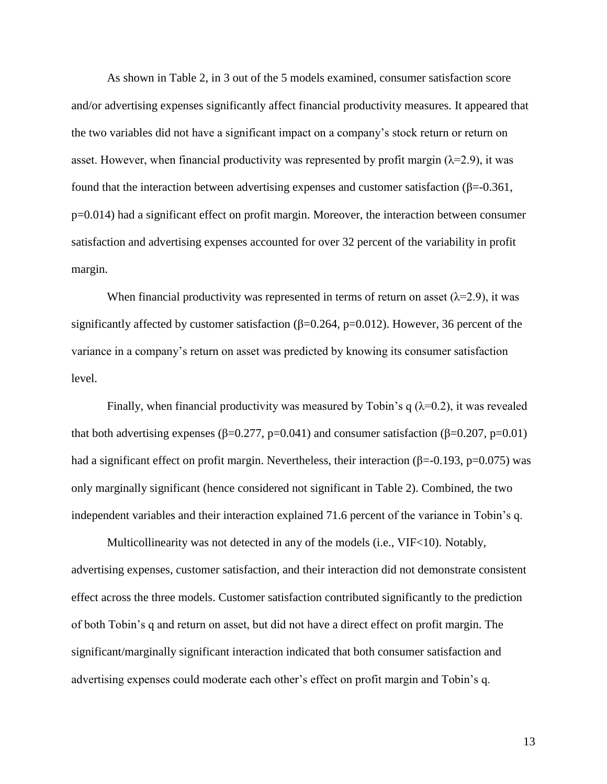As shown in Table 2, in 3 out of the 5 models examined, consumer satisfaction score and/or advertising expenses significantly affect financial productivity measures. It appeared that the two variables did not have a significant impact on a company"s stock return or return on asset. However, when financial productivity was represented by profit margin ( $\lambda$ =2.9), it was found that the interaction between advertising expenses and customer satisfaction ( $\beta$ =-0.361, p=0.014) had a significant effect on profit margin. Moreover, the interaction between consumer satisfaction and advertising expenses accounted for over 32 percent of the variability in profit margin.

When financial productivity was represented in terms of return on asset  $(\lambda=2.9)$ , it was significantly affected by customer satisfaction ( $\beta$ =0.264, p=0.012). However, 36 percent of the variance in a company"s return on asset was predicted by knowing its consumer satisfaction level.

Finally, when financial productivity was measured by Tobin's q  $(\lambda=0.2)$ , it was revealed that both advertising expenses (β=0.277, p=0.041) and consumer satisfaction (β=0.207, p=0.01) had a significant effect on profit margin. Nevertheless, their interaction ( $\beta$ =-0.193, p=0.075) was only marginally significant (hence considered not significant in Table 2). Combined, the two independent variables and their interaction explained 71.6 percent of the variance in Tobin"s q.

Multicollinearity was not detected in any of the models (i.e., VIF<10). Notably, advertising expenses, customer satisfaction, and their interaction did not demonstrate consistent effect across the three models. Customer satisfaction contributed significantly to the prediction of both Tobin"s q and return on asset, but did not have a direct effect on profit margin. The significant/marginally significant interaction indicated that both consumer satisfaction and advertising expenses could moderate each other"s effect on profit margin and Tobin"s q.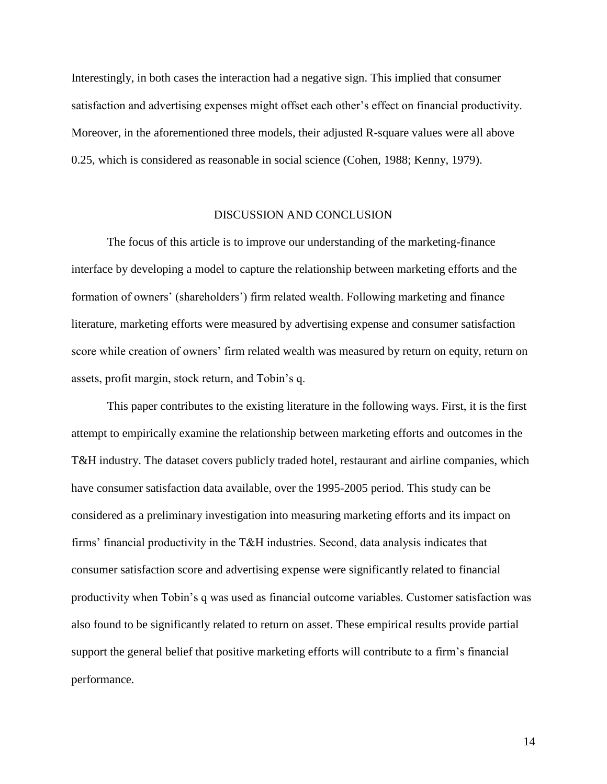Interestingly, in both cases the interaction had a negative sign. This implied that consumer satisfaction and advertising expenses might offset each other"s effect on financial productivity. Moreover, in the aforementioned three models, their adjusted R-square values were all above 0.25, which is considered as reasonable in social science (Cohen, 1988; Kenny, 1979).

## DISCUSSION AND CONCLUSION

 The focus of this article is to improve our understanding of the marketing-finance interface by developing a model to capture the relationship between marketing efforts and the formation of owners" (shareholders") firm related wealth. Following marketing and finance literature, marketing efforts were measured by advertising expense and consumer satisfaction score while creation of owners' firm related wealth was measured by return on equity, return on assets, profit margin, stock return, and Tobin"s q.

This paper contributes to the existing literature in the following ways. First, it is the first attempt to empirically examine the relationship between marketing efforts and outcomes in the T&H industry. The dataset covers publicly traded hotel, restaurant and airline companies, which have consumer satisfaction data available, over the 1995-2005 period. This study can be considered as a preliminary investigation into measuring marketing efforts and its impact on firms" financial productivity in the T&H industries. Second, data analysis indicates that consumer satisfaction score and advertising expense were significantly related to financial productivity when Tobin"s q was used as financial outcome variables. Customer satisfaction was also found to be significantly related to return on asset. These empirical results provide partial support the general belief that positive marketing efforts will contribute to a firm"s financial performance.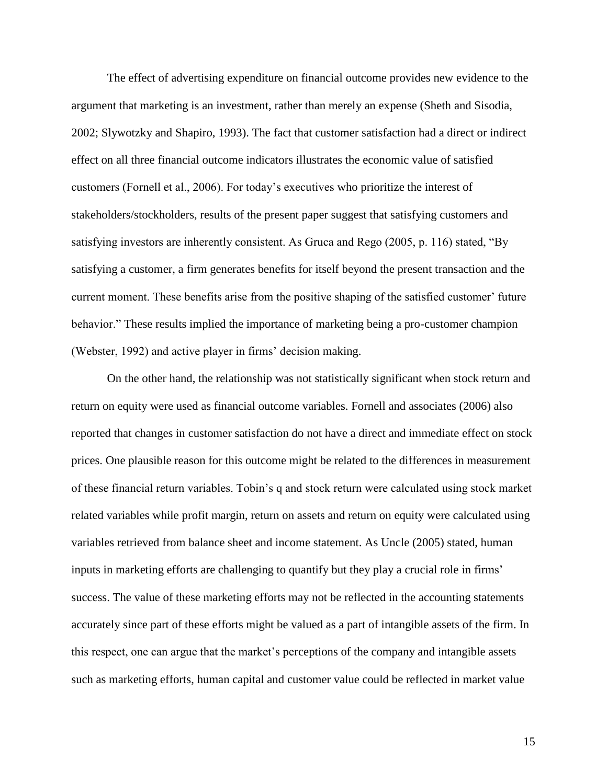The effect of advertising expenditure on financial outcome provides new evidence to the argument that marketing is an investment, rather than merely an expense (Sheth and Sisodia, 2002; Slywotzky and Shapiro, 1993). The fact that customer satisfaction had a direct or indirect effect on all three financial outcome indicators illustrates the economic value of satisfied customers (Fornell et al., 2006). For today"s executives who prioritize the interest of stakeholders/stockholders, results of the present paper suggest that satisfying customers and satisfying investors are inherently consistent. As Gruca and Rego (2005, p. 116) stated, "By satisfying a customer, a firm generates benefits for itself beyond the present transaction and the current moment. These benefits arise from the positive shaping of the satisfied customer' future behavior." These results implied the importance of marketing being a pro-customer champion (Webster, 1992) and active player in firms' decision making.

On the other hand, the relationship was not statistically significant when stock return and return on equity were used as financial outcome variables. Fornell and associates (2006) also reported that changes in customer satisfaction do not have a direct and immediate effect on stock prices. One plausible reason for this outcome might be related to the differences in measurement of these financial return variables. Tobin"s q and stock return were calculated using stock market related variables while profit margin, return on assets and return on equity were calculated using variables retrieved from balance sheet and income statement. As Uncle (2005) stated, human inputs in marketing efforts are challenging to quantify but they play a crucial role in firms' success. The value of these marketing efforts may not be reflected in the accounting statements accurately since part of these efforts might be valued as a part of intangible assets of the firm. In this respect, one can argue that the market"s perceptions of the company and intangible assets such as marketing efforts, human capital and customer value could be reflected in market value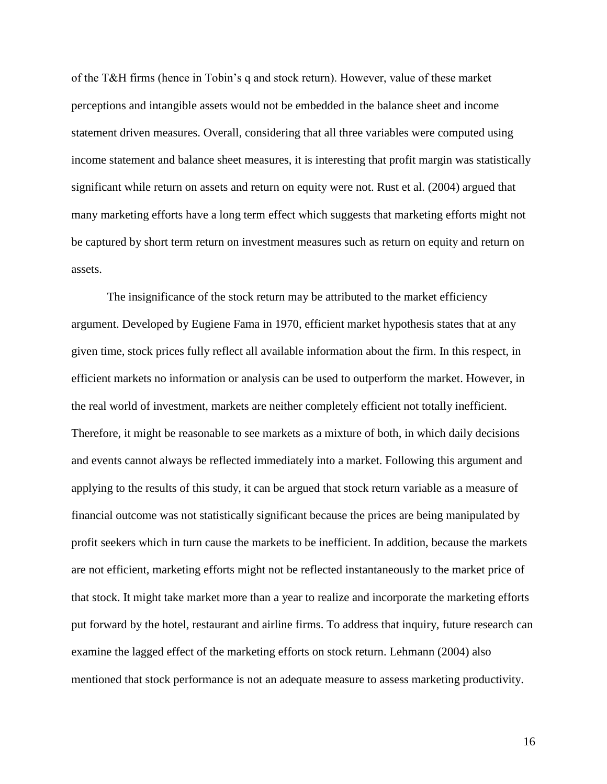of the T&H firms (hence in Tobin"s q and stock return). However, value of these market perceptions and intangible assets would not be embedded in the balance sheet and income statement driven measures. Overall, considering that all three variables were computed using income statement and balance sheet measures, it is interesting that profit margin was statistically significant while return on assets and return on equity were not. Rust et al. (2004) argued that many marketing efforts have a long term effect which suggests that marketing efforts might not be captured by short term return on investment measures such as return on equity and return on assets.

The insignificance of the stock return may be attributed to the market efficiency argument. Developed by Eugiene Fama in 1970, efficient market hypothesis states that at any given time, stock prices fully reflect all available information about the firm. In this respect, in efficient markets no information or analysis can be used to outperform the market. However, in the real world of investment, markets are neither completely efficient not totally inefficient. Therefore, it might be reasonable to see markets as a mixture of both, in which daily decisions and events cannot always be reflected immediately into a market. Following this argument and applying to the results of this study, it can be argued that stock return variable as a measure of financial outcome was not statistically significant because the prices are being manipulated by profit seekers which in turn cause the markets to be inefficient. In addition, because the markets are not efficient, marketing efforts might not be reflected instantaneously to the market price of that stock. It might take market more than a year to realize and incorporate the marketing efforts put forward by the hotel, restaurant and airline firms. To address that inquiry, future research can examine the lagged effect of the marketing efforts on stock return. Lehmann (2004) also mentioned that stock performance is not an adequate measure to assess marketing productivity.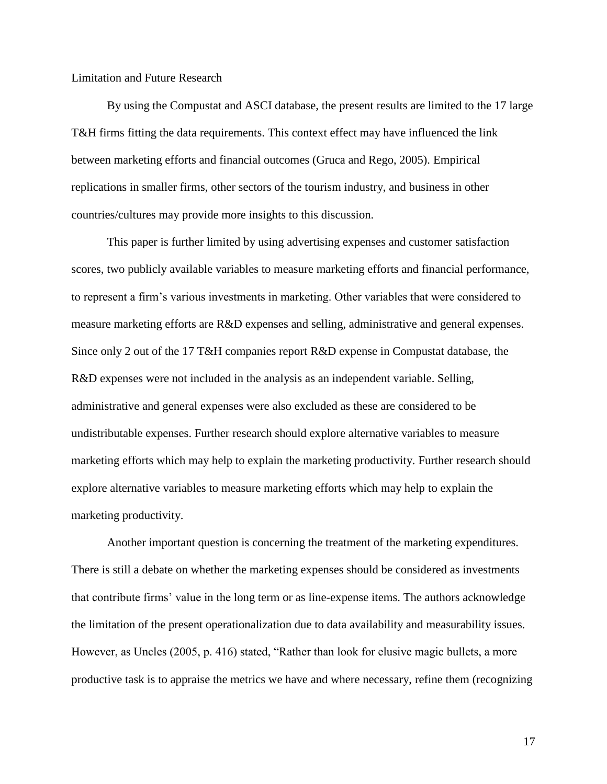#### Limitation and Future Research

 By using the Compustat and ASCI database, the present results are limited to the 17 large T&H firms fitting the data requirements. This context effect may have influenced the link between marketing efforts and financial outcomes (Gruca and Rego, 2005). Empirical replications in smaller firms, other sectors of the tourism industry, and business in other countries/cultures may provide more insights to this discussion.

This paper is further limited by using advertising expenses and customer satisfaction scores, two publicly available variables to measure marketing efforts and financial performance, to represent a firm"s various investments in marketing. Other variables that were considered to measure marketing efforts are R&D expenses and selling, administrative and general expenses. Since only 2 out of the 17 T&H companies report R&D expense in Compustat database, the R&D expenses were not included in the analysis as an independent variable. Selling, administrative and general expenses were also excluded as these are considered to be undistributable expenses. Further research should explore alternative variables to measure marketing efforts which may help to explain the marketing productivity. Further research should explore alternative variables to measure marketing efforts which may help to explain the marketing productivity.

Another important question is concerning the treatment of the marketing expenditures. There is still a debate on whether the marketing expenses should be considered as investments that contribute firms" value in the long term or as line-expense items. The authors acknowledge the limitation of the present operationalization due to data availability and measurability issues. However, as Uncles (2005, p. 416) stated, "Rather than look for elusive magic bullets, a more productive task is to appraise the metrics we have and where necessary, refine them (recognizing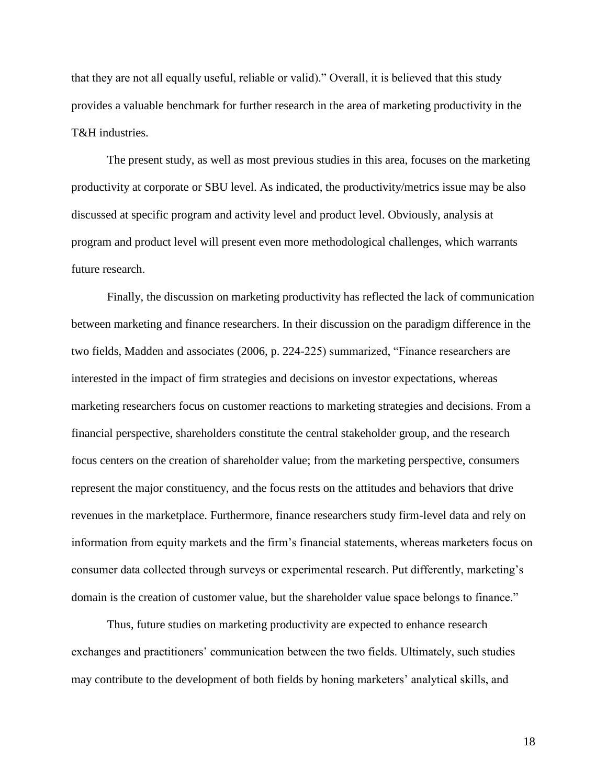that they are not all equally useful, reliable or valid)." Overall, it is believed that this study provides a valuable benchmark for further research in the area of marketing productivity in the T&H industries.

The present study, as well as most previous studies in this area, focuses on the marketing productivity at corporate or SBU level. As indicated, the productivity/metrics issue may be also discussed at specific program and activity level and product level. Obviously, analysis at program and product level will present even more methodological challenges, which warrants future research.

Finally, the discussion on marketing productivity has reflected the lack of communication between marketing and finance researchers. In their discussion on the paradigm difference in the two fields, Madden and associates (2006, p. 224-225) summarized, "Finance researchers are interested in the impact of firm strategies and decisions on investor expectations, whereas marketing researchers focus on customer reactions to marketing strategies and decisions. From a financial perspective, shareholders constitute the central stakeholder group, and the research focus centers on the creation of shareholder value; from the marketing perspective, consumers represent the major constituency, and the focus rests on the attitudes and behaviors that drive revenues in the marketplace. Furthermore, finance researchers study firm-level data and rely on information from equity markets and the firm"s financial statements, whereas marketers focus on consumer data collected through surveys or experimental research. Put differently, marketing"s domain is the creation of customer value, but the shareholder value space belongs to finance."

Thus, future studies on marketing productivity are expected to enhance research exchanges and practitioners" communication between the two fields. Ultimately, such studies may contribute to the development of both fields by honing marketers" analytical skills, and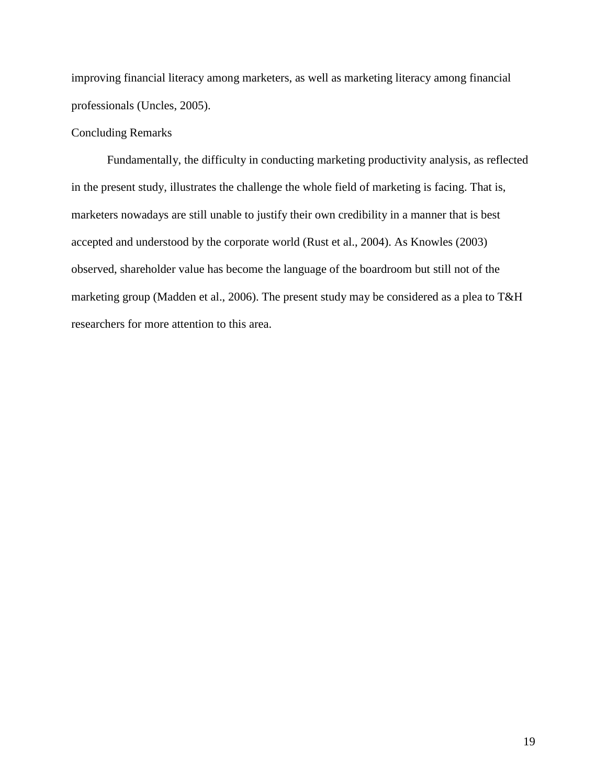improving financial literacy among marketers, as well as marketing literacy among financial professionals (Uncles, 2005).

# Concluding Remarks

 Fundamentally, the difficulty in conducting marketing productivity analysis, as reflected in the present study, illustrates the challenge the whole field of marketing is facing. That is, marketers nowadays are still unable to justify their own credibility in a manner that is best accepted and understood by the corporate world (Rust et al., 2004). As Knowles (2003) observed, shareholder value has become the language of the boardroom but still not of the marketing group (Madden et al., 2006). The present study may be considered as a plea to T&H researchers for more attention to this area.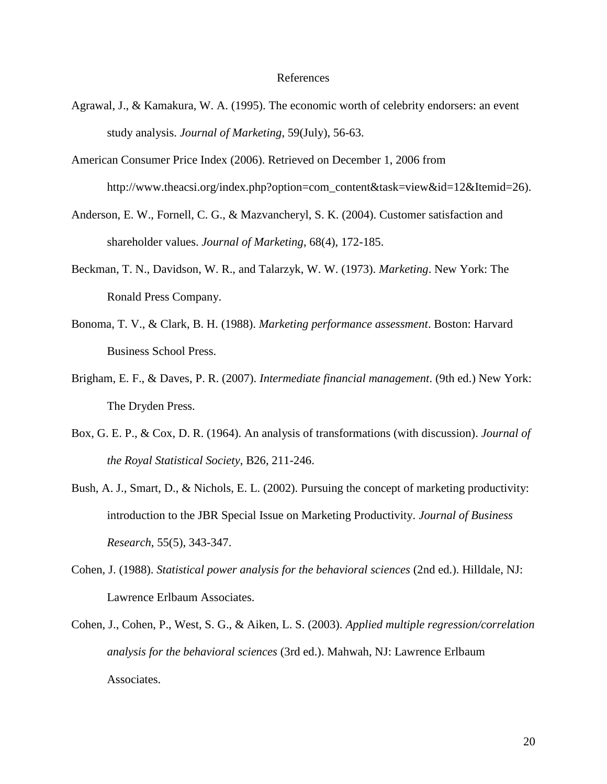#### References

- Agrawal, J., & Kamakura, W. A. (1995). The economic worth of celebrity endorsers: an event study analysis. *Journal of Marketing*, 59(July), 56-63.
- American Consumer Price Index (2006). Retrieved on December 1, 2006 from http://www.theacsi.org/index.php?option=com\_content&task=view&id=12&Itemid=26).
- Anderson, E. W., Fornell, C. G., & Mazvancheryl, S. K. (2004). Customer satisfaction and shareholder values. *Journal of Marketing*, 68(4), 172-185.
- Beckman, T. N., Davidson, W. R., and Talarzyk, W. W. (1973). *Marketing*. New York: The Ronald Press Company.
- Bonoma, T. V., & Clark, B. H. (1988). *Marketing performance assessment*. Boston: Harvard Business School Press.
- Brigham, E. F., & Daves, P. R. (2007). *Intermediate financial management*. (9th ed.) New York: The Dryden Press.
- Box, G. E. P., & Cox, D. R. (1964). An analysis of transformations (with discussion). *Journal of the Royal Statistical Society*, B26, 211-246.
- Bush, A. J., Smart, D., & Nichols, E. L. (2002). Pursuing the concept of marketing productivity: introduction to the JBR Special Issue on Marketing Productivity. *Journal of Business Research*, 55(5), 343-347.
- Cohen, J. (1988). *Statistical power analysis for the behavioral sciences* (2nd ed.). Hilldale, NJ: Lawrence Erlbaum Associates.
- Cohen, J., Cohen, P., West, S. G., & Aiken, L. S. (2003). *Applied multiple regression/correlation analysis for the behavioral sciences* (3rd ed.). Mahwah, NJ: Lawrence Erlbaum Associates.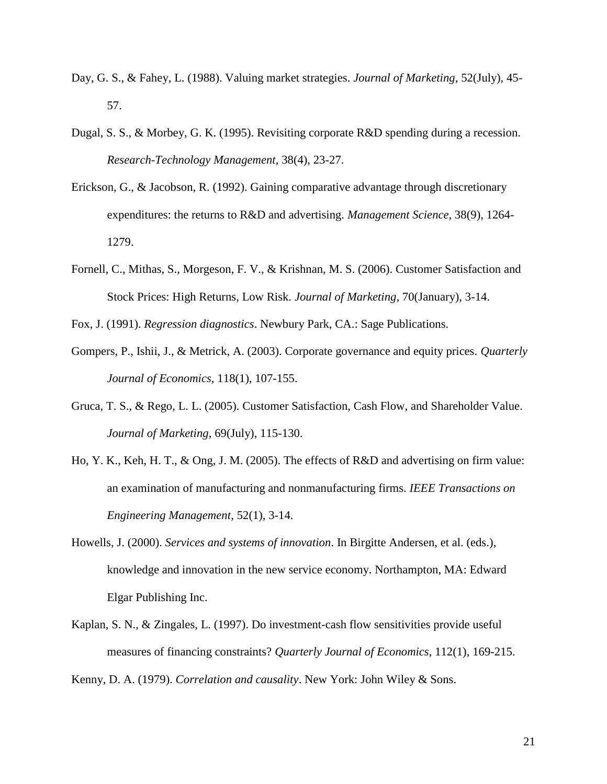- Day, G. S., & Fahey, L. (1988). Valuing market strategies. *Journal of Marketing*, 52(July), 45- 57.
- Dugal, S. S., & Morbey, G. K. (1995). Revisiting corporate R&D spending during a recession. *Research-Technology Management*, 38(4), 23-27.
- Erickson, G., & Jacobson, R. (1992). Gaining comparative advantage through discretionary expenditures: the returns to R&D and advertising. *Management Science*, 38(9), 1264- 1279.
- Fornell, C., Mithas, S., Morgeson, F. V., & Krishnan, M. S. (2006). Customer Satisfaction and Stock Prices: High Returns, Low Risk. *Journal of Marketing*, 70(January), 3-14.
- Fox, J. (1991). *Regression diagnostics*. Newbury Park, CA.: Sage Publications.
- Gompers, P., Ishii, J., & Metrick, A. (2003). Corporate governance and equity prices. *Quarterly Journal of Economics*, 118(1), 107-155.
- Gruca, T. S., & Rego, L. L. (2005). Customer Satisfaction, Cash Flow, and Shareholder Value. *Journal of Marketing*, 69(July), 115-130.
- Ho, Y. K., Keh, H. T., & Ong, J. M. (2005). The effects of R&D and advertising on firm value: an examination of manufacturing and nonmanufacturing firms. *IEEE Transactions on Engineering Management*, 52(1), 3-14.
- Howells, J. (2000). *Services and systems of innovation*. In Birgitte Andersen, et al. (eds.), knowledge and innovation in the new service economy. Northampton, MA: Edward Elgar Publishing Inc.
- Kaplan, S. N., & Zingales, L. (1997). Do investment-cash flow sensitivities provide useful measures of financing constraints? *Quarterly Journal of Economics*, 112(1), 169-215.

Kenny, D. A. (1979). *Correlation and causality*. New York: John Wiley & Sons.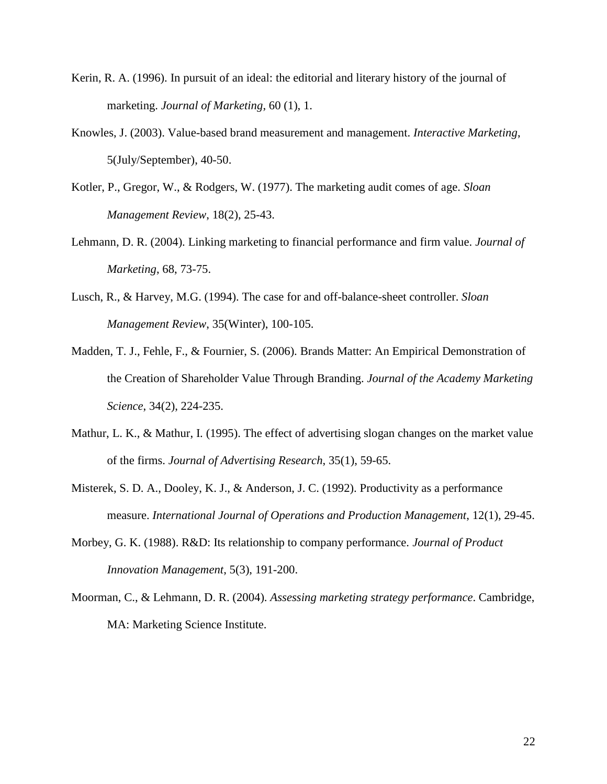- Kerin, R. A. (1996). In pursuit of an ideal: the editorial and literary history of the journal of marketing. *Journal of Marketing*, 60 (1), 1.
- Knowles, J. (2003). Value-based brand measurement and management. *Interactive Marketing*, 5(July/September), 40-50.
- Kotler, P., Gregor, W., & Rodgers, W. (1977). The marketing audit comes of age. *Sloan Management Review*, 18(2), 25-43.
- Lehmann, D. R. (2004). Linking marketing to financial performance and firm value. *Journal of Marketing*, 68, 73-75.
- Lusch, R., & Harvey, M.G. (1994). The case for and off-balance-sheet controller. *Sloan Management Review*, 35(Winter), 100-105.
- Madden, T. J., Fehle, F., & Fournier, S. (2006). Brands Matter: An Empirical Demonstration of the Creation of Shareholder Value Through Branding. *Journal of the Academy Marketing Science*, 34(2), 224-235.
- Mathur, L. K., & Mathur, I. (1995). The effect of advertising slogan changes on the market value of the firms. *Journal of Advertising Research*, 35(1), 59-65.
- Misterek, S. D. A., Dooley, K. J., & Anderson, J. C. (1992). Productivity as a performance measure. *International Journal of Operations and Production Management*, 12(1), 29-45.
- Morbey, G. K. (1988). R&D: Its relationship to company performance. *Journal of Product Innovation Management*, 5(3), 191-200.
- Moorman, C., & Lehmann, D. R. (2004). *Assessing marketing strategy performance*. Cambridge, MA: Marketing Science Institute.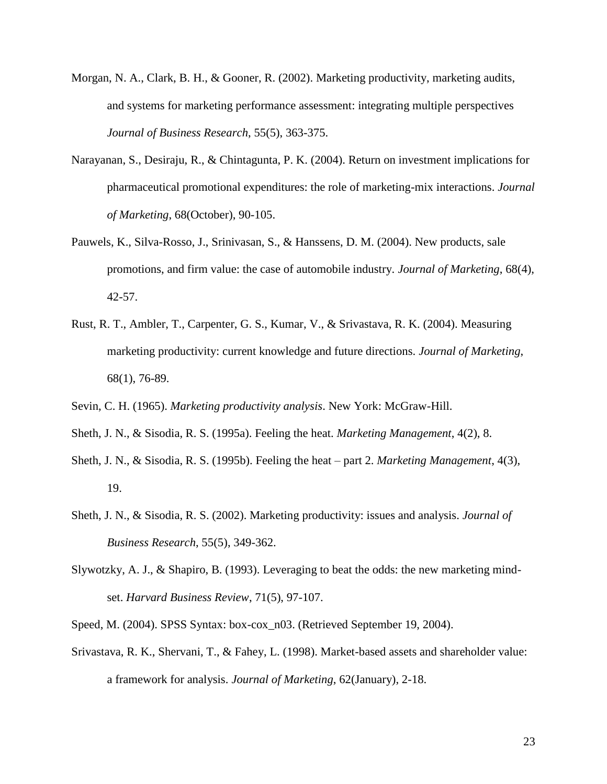- Morgan, N. A., Clark, B. H., & Gooner, R. (2002). Marketing productivity, marketing audits, and systems for marketing performance assessment: integrating multiple perspectives *Journal of Business Research*, 55(5), 363-375.
- Narayanan, S., Desiraju, R., & Chintagunta, P. K. (2004). Return on investment implications for pharmaceutical promotional expenditures: the role of marketing-mix interactions. *Journal of Marketing*, 68(October), 90-105.
- Pauwels, K., Silva-Rosso, J., Srinivasan, S., & Hanssens, D. M. (2004). New products, sale promotions, and firm value: the case of automobile industry. *Journal of Marketing*, 68(4), 42-57.
- Rust, R. T., Ambler, T., Carpenter, G. S., Kumar, V., & Srivastava, R. K. (2004). Measuring marketing productivity: current knowledge and future directions. *Journal of Marketing*, 68(1), 76-89.
- Sevin, C. H. (1965). *Marketing productivity analysis*. New York: McGraw-Hill.
- Sheth, J. N., & Sisodia, R. S. (1995a). Feeling the heat. *Marketing Management*, 4(2), 8.
- Sheth, J. N., & Sisodia, R. S. (1995b). Feeling the heat part 2. *Marketing Management*, 4(3), 19.
- Sheth, J. N., & Sisodia, R. S. (2002). Marketing productivity: issues and analysis. *Journal of Business Research*, 55(5), 349-362.
- Slywotzky, A. J., & Shapiro, B. (1993). Leveraging to beat the odds: the new marketing mindset. *Harvard Business Review*, 71(5), 97-107.
- Speed, M. (2004). SPSS Syntax: box-cox\_n03. (Retrieved September 19, 2004).
- Srivastava, R. K., Shervani, T., & Fahey, L. (1998). Market-based assets and shareholder value: a framework for analysis. *Journal of Marketing*, 62(January), 2-18.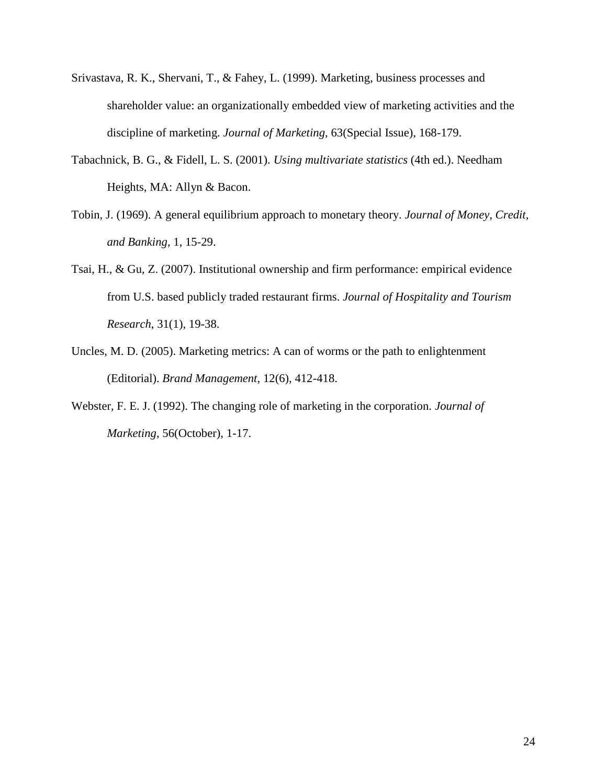- Srivastava, R. K., Shervani, T., & Fahey, L. (1999). Marketing, business processes and shareholder value: an organizationally embedded view of marketing activities and the discipline of marketing. *Journal of Marketing*, 63(Special Issue), 168-179.
- Tabachnick, B. G., & Fidell, L. S. (2001). *Using multivariate statistics* (4th ed.). Needham Heights, MA: Allyn & Bacon.
- Tobin, J. (1969). A general equilibrium approach to monetary theory. *Journal of Money, Credit, and Banking*, 1, 15-29.
- Tsai, H., & Gu, Z. (2007). Institutional ownership and firm performance: empirical evidence from U.S. based publicly traded restaurant firms. *Journal of Hospitality and Tourism Research*, 31(1), 19-38.
- Uncles, M. D. (2005). Marketing metrics: A can of worms or the path to enlightenment (Editorial). *Brand Management*, 12(6), 412-418.
- Webster, F. E. J. (1992). The changing role of marketing in the corporation. *Journal of Marketing*, 56(October), 1-17.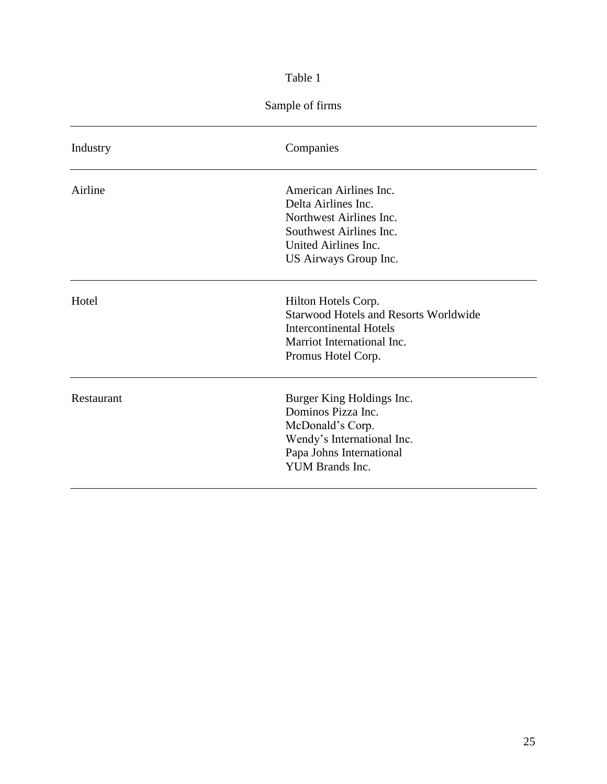# Table 1

# Sample of firms

| Industry   | Companies                                                                                                                                                 |
|------------|-----------------------------------------------------------------------------------------------------------------------------------------------------------|
| Airline    | American Airlines Inc.<br>Delta Airlines Inc.<br>Northwest Airlines Inc.<br>Southwest Airlines Inc.<br>United Airlines Inc.<br>US Airways Group Inc.      |
| Hotel      | Hilton Hotels Corp.<br><b>Starwood Hotels and Resorts Worldwide</b><br><b>Intercontinental Hotels</b><br>Marriot International Inc.<br>Promus Hotel Corp. |
| Restaurant | Burger King Holdings Inc.<br>Dominos Pizza Inc.<br>McDonald's Corp.<br>Wendy's International Inc.<br>Papa Johns International<br><b>YUM Brands Inc.</b>   |